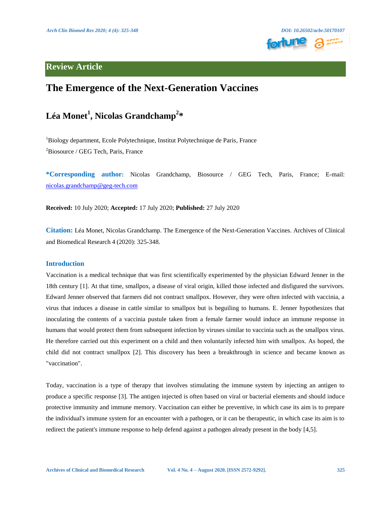

## **Review Article**

## **The Emergence of the Next-Generation Vaccines**

# **Léa Monet<sup>1</sup> , Nicolas Grandchamp<sup>2</sup> \***

<sup>1</sup>Biology department, Ecole Polytechnique, Institut Polytechnique de Paris, France <sup>2</sup>Biosource / GEG Tech, Paris, France

**\*Corresponding author:** Nicolas Grandchamp, Biosource / GEG Tech, Paris, France; E-mail: [nicolas.grandchamp@geg-tech.com](mailto:nicolas.grandchamp@geg-tech.com)

**Received:** 10 July 2020; **Accepted:** 17 July 2020; **Published:** 27 July 2020

**Citation:** Léa Monet, Nicolas Grandchamp. The Emergence of the Next-Generation Vaccines. Archives of Clinical and Biomedical Research 4 (2020): 325-348.

## **Introduction**

Vaccination is a medical technique that was first scientifically experimented by the physician Edward Jenner in the 18th century [1]. At that time, smallpox, a disease of viral origin, killed those infected and disfigured the survivors. Edward Jenner observed that farmers did not contract smallpox. However, they were often infected with vaccinia, a virus that induces a disease in cattle similar to smallpox but is beguiling to humans. E. Jenner hypothesizes that inoculating the contents of a vaccinia pustule taken from a female farmer would induce an immune response in humans that would protect them from subsequent infection by viruses similar to vaccinia such as the smallpox virus. He therefore carried out this experiment on a child and then voluntarily infected him with smallpox. As hoped, the child did not contract smallpox [2]. This discovery has been a breakthrough in science and became known as "vaccination".

Today, vaccination is a type of therapy that involves stimulating the immune system by injecting an antigen to produce a specific response [3]. The antigen injected is often based on viral or bacterial elements and should induce protective immunity and immune memory. Vaccination can either be preventive, in which case its aim is to prepare the individual's immune system for an encounter with a pathogen, or it can be therapeutic, in which case its aim is to redirect the patient's immune response to help defend against a pathogen already present in the body [4,5].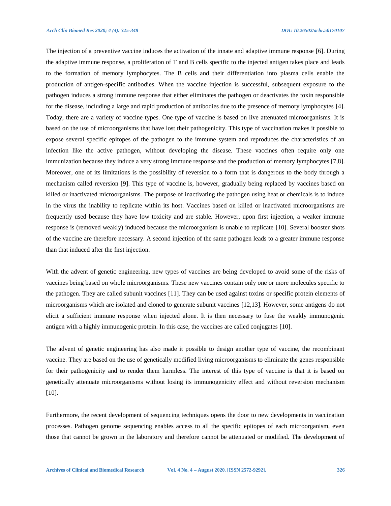The injection of a preventive vaccine induces the activation of the innate and adaptive immune response [6]. During the adaptive immune response, a proliferation of T and B cells specific to the injected antigen takes place and leads to the formation of memory lymphocytes. The B cells and their differentiation into plasma cells enable the production of antigen-specific antibodies. When the vaccine injection is successful, subsequent exposure to the pathogen induces a strong immune response that either eliminates the pathogen or deactivates the toxin responsible for the disease, including a large and rapid production of antibodies due to the presence of memory lymphocytes [4]. Today, there are a variety of vaccine types. One type of vaccine is based on live attenuated microorganisms. It is based on the use of microorganisms that have lost their pathogenicity. This type of vaccination makes it possible to expose several specific epitopes of the pathogen to the immune system and reproduces the characteristics of an infection like the active pathogen, without developing the disease. These vaccines often require only one immunization because they induce a very strong immune response and the production of memory lymphocytes [7,8]. Moreover, one of its limitations is the possibility of reversion to a form that is dangerous to the body through a mechanism called reversion [9]. This type of vaccine is, however, gradually being replaced by vaccines based on killed or inactivated microorganisms. The purpose of inactivating the pathogen using heat or chemicals is to induce in the virus the inability to replicate within its host. Vaccines based on killed or inactivated microorganisms are frequently used because they have low toxicity and are stable. However, upon first injection, a weaker immune response is (removed weakly) induced because the microorganism is unable to replicate [10]. Several booster shots of the vaccine are therefore necessary. A second injection of the same pathogen leads to a greater immune response than that induced after the first injection.

With the advent of genetic engineering, new types of vaccines are being developed to avoid some of the risks of vaccines being based on whole microorganisms. These new vaccines contain only one or more molecules specific to the pathogen. They are called subunit vaccines [11]. They can be used against toxins or specific protein elements of microorganisms which are isolated and cloned to generate subunit vaccines [12,13]. However, some antigens do not elicit a sufficient immune response when injected alone. It is then necessary to fuse the weakly immunogenic antigen with a highly immunogenic protein. In this case, the vaccines are called conjugates [10].

The advent of genetic engineering has also made it possible to design another type of vaccine, the recombinant vaccine. They are based on the use of genetically modified living microorganisms to eliminate the genes responsible for their pathogenicity and to render them harmless. The interest of this type of vaccine is that it is based on genetically attenuate microorganisms without losing its immunogenicity effect and without reversion mechanism [10].

Furthermore, the recent development of sequencing techniques opens the door to new developments in vaccination processes. Pathogen genome sequencing enables access to all the specific epitopes of each microorganism, even those that cannot be grown in the laboratory and therefore cannot be attenuated or modified. The development of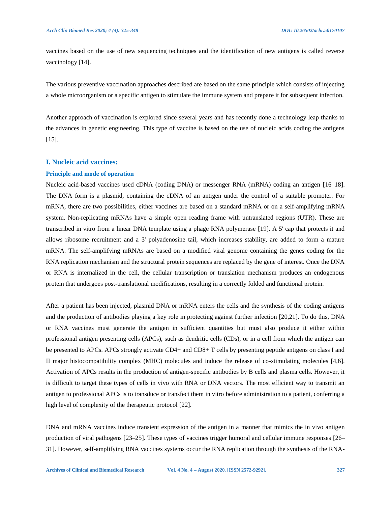vaccines based on the use of new sequencing techniques and the identification of new antigens is called reverse vaccinology [14].

The various preventive vaccination approaches described are based on the same principle which consists of injecting a whole microorganism or a specific antigen to stimulate the immune system and prepare it for subsequent infection.

Another approach of vaccination is explored since several years and has recently done a technology leap thanks to the advances in genetic engineering. This type of vaccine is based on the use of nucleic acids coding the antigens [15].

## **I. Nucleic acid vaccines:**

#### **Principle and mode of operation**

Nucleic acid-based vaccines used cDNA (coding DNA) or messenger RNA (mRNA) coding an antigen [16–18]. The DNA form is a plasmid, containing the cDNA of an antigen under the control of a suitable promoter. For mRNA, there are two possibilities, either vaccines are based on a standard mRNA or on a self-amplifying mRNA system. Non-replicating mRNAs have a simple open reading frame with untranslated regions (UTR). These are transcribed in vitro from a linear DNA template using a phage RNA polymerase [19]. A 5' cap that protects it and allows ribosome recruitment and a 3' polyadenosine tail, which increases stability, are added to form a mature mRNA. The self-amplifying mRNAs are based on a modified viral genome containing the genes coding for the RNA replication mechanism and the structural protein sequences are replaced by the gene of interest. Once the DNA or RNA is internalized in the cell, the cellular transcription or translation mechanism produces an endogenous protein that undergoes post-translational modifications, resulting in a correctly folded and functional protein.

After a patient has been injected, plasmid DNA or mRNA enters the cells and the synthesis of the coding antigens and the production of antibodies playing a key role in protecting against further infection [20,21]. To do this, DNA or RNA vaccines must generate the antigen in sufficient quantities but must also produce it either within professional antigen presenting cells (APCs), such as dendritic cells (CDs), or in a cell from which the antigen can be presented to APCs. APCs strongly activate CD4+ and CD8+ T cells by presenting peptide antigens on class I and II major histocompatibility complex (MHC) molecules and induce the release of co-stimulating molecules [4,6]. Activation of APCs results in the production of antigen-specific antibodies by B cells and plasma cells. However, it is difficult to target these types of cells in vivo with RNA or DNA vectors. The most efficient way to transmit an antigen to professional APCs is to transduce or transfect them in vitro before administration to a patient, conferring a high level of complexity of the therapeutic protocol [22].

DNA and mRNA vaccines induce transient expression of the antigen in a manner that mimics the in vivo antigen production of viral pathogens [23–25]. These types of vaccines trigger humoral and cellular immune responses [26– 31]. However, self-amplifying RNA vaccines systems occur the RNA replication through the synthesis of the RNA-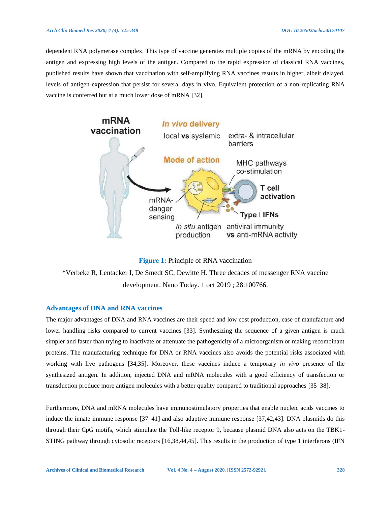#### *Arch Clin Biomed Res 2020; 4 (4): 325-348 DOI: 10.26502/acbr.50170107*

dependent RNA polymerase complex. This type of vaccine generates multiple copies of the mRNA by encoding the antigen and expressing high levels of the antigen. Compared to the rapid expression of classical RNA vaccines, published results have shown that vaccination with self-amplifying RNA vaccines results in higher, albeit delayed, levels of antigen expression that persist for several days in vivo. Equivalent protection of a non-replicating RNA vaccine is conferred but at a much lower dose of mRNA [32].





\*Verbeke R, Lentacker I, De Smedt SC, Dewitte H. Three decades of messenger RNA vaccine development. Nano Today. 1 oct 2019 ; 28:100766.

#### **Advantages of DNA and RNA vaccines**

The major advantages of DNA and RNA vaccines are their speed and low cost production, ease of manufacture and lower handling risks compared to current vaccines [33]. Synthesizing the sequence of a given antigen is much simpler and faster than trying to inactivate or attenuate the pathogenicity of a microorganism or making recombinant proteins. The manufacturing technique for DNA or RNA vaccines also avoids the potential risks associated with working with live pathogens [34,35]. Moreover, these vaccines induce a temporary *in vivo* presence of the synthesized antigen. In addition, injected DNA and mRNA molecules with a good efficiency of transfection or transduction produce more antigen molecules with a better quality compared to traditional approaches [35–38].

Furthermore, DNA and mRNA molecules have immunostimulatory properties that enable nucleic acids vaccines to induce the innate immune response [37–41] and also adaptive immune response [37,42,43]. DNA plasmids do this through their CpG motifs, which stimulate the Toll-like receptor 9, because plasmid DNA also acts on the TBK1- STING pathway through cytosolic receptors [16,38,44,45]. This results in the production of type 1 interferons (IFN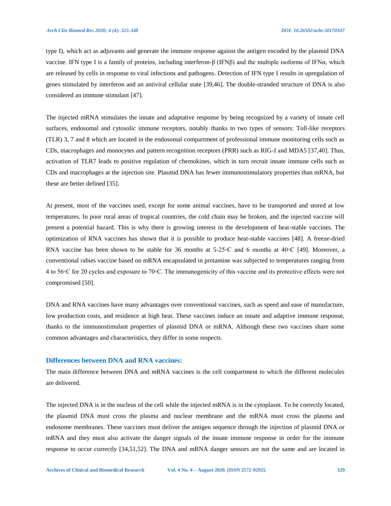type I), which act as adjuvants and generate the immune response against the antigen encoded by the plasmid DNA vaccine. IFN type I is a family of proteins, including interferon-β (IFNβ) and the multiple isoforms of IFNα, which are released by cells in response to viral infections and pathogens. Detection of IFN type I results in upregulation of genes stimulated by interferon and an antiviral cellular state [39,46]. The double-stranded structure of DNA is also considered an immune stimulant [47].

The injected mRNA stimulates the innate and adaptative response by being recognized by a variety of innate cell surfaces, endosomal and cytosolic immune receptors, notably thanks to two types of sensors: Toll-like receptors (TLR) 3, 7 and 8 which are located in the endosomal compartment of professional immune monitoring cells such as CDs, macrophages and monocytes and pattern recognition receptors (PRR) such as RIG-I and MDA5 [37,40]. Thus, activation of TLR7 leads to positive regulation of chemokines, which in turn recruit innate immune cells such as CDs and macrophages at the injection site. Plasmid DNA has fewer immunostimulatory properties than mRNA, but these are better defined [35].

At present, most of the vaccines used, except for some animal vaccines, have to be transported and stored at low temperatures. In poor rural areas of tropical countries, the cold chain may be broken, and the injected vaccine will present a potential hazard. This is why there is growing interest in the development of heat-stable vaccines. The optimization of RNA vaccines has shown that it is possible to produce heat-stable vaccines [48]. A freeze-dried RNA vaccine has been shown to be stable for 36 months at 5-25◦C and 6 months at 40◦C [49]. Moreover, a conventional rabies vaccine based on mRNA encapsulated in protamine was subjected to temperatures ranging from 4 to 56◦C for 20 cycles and exposure to 70◦C. The immunogenicity of this vaccine and its protective effects were not compromised [50].

DNA and RNA vaccines have many advantages over conventional vaccines, such as speed and ease of manufacture, low production costs, and residence at high heat. These vaccines induce an innate and adaptive immune response, thanks to the immunostimulant properties of plasmid DNA or mRNA. Although these two vaccines share some common advantages and characteristics, they differ in some respects.

#### **Differences between DNA and RNA vaccines:**

The main difference between DNA and mRNA vaccines is the cell compartment to which the different molecules are delivered.

The injected DNA is in the nucleus of the cell while the injected mRNA is in the cytoplasm. To be correctly located, the plasmid DNA must cross the plasma and nuclear membrane and the mRNA must cross the plasma and endosome membranes. These vaccines must deliver the antigen sequence through the injection of plasmid DNA or mRNA and they must also activate the danger signals of the innate immune response in order for the immune response to occur correctly [34,51,52]. The DNA and mRNA danger sensors are not the same and are located in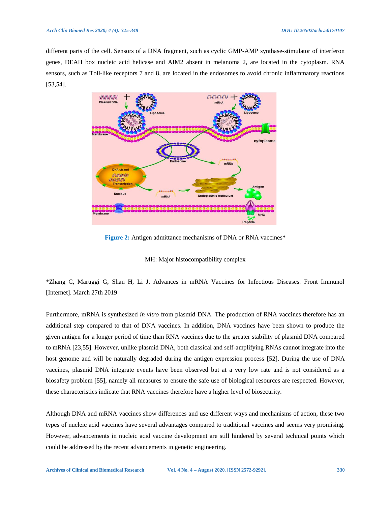different parts of the cell. Sensors of a DNA fragment, such as cyclic GMP-AMP synthase-stimulator of interferon genes, DEAH box nucleic acid helicase and AIM2 absent in melanoma 2, are located in the cytoplasm. RNA sensors, such as Toll-like receptors 7 and 8, are located in the endosomes to avoid chronic inflammatory reactions [53,54].



**Figure 2:** Antigen admittance mechanisms of DNA or RNA vaccines\*

MH: Major histocompatibility complex

\*Zhang C, Maruggi G, Shan H, Li J. Advances in mRNA Vaccines for Infectious Diseases. Front Immunol [Internet]. March 27th 2019

Furthermore, mRNA is synthesized *in vitro* from plasmid DNA. The production of RNA vaccines therefore has an additional step compared to that of DNA vaccines. In addition, DNA vaccines have been shown to produce the given antigen for a longer period of time than RNA vaccines due to the greater stability of plasmid DNA compared to mRNA [23,55]. However, unlike plasmid DNA, both classical and self-amplifying RNAs cannot integrate into the host genome and will be naturally degraded during the antigen expression process [52]. During the use of DNA vaccines, plasmid DNA integrate events have been observed but at a very low rate and is not considered as a biosafety problem [55], namely all measures to ensure the safe use of biological resources are respected. However, these characteristics indicate that RNA vaccines therefore have a higher level of biosecurity.

Although DNA and mRNA vaccines show differences and use different ways and mechanisms of action, these two types of nucleic acid vaccines have several advantages compared to traditional vaccines and seems very promising. However, advancements in nucleic acid vaccine development are still hindered by several technical points which could be addressed by the recent advancements in genetic engineering.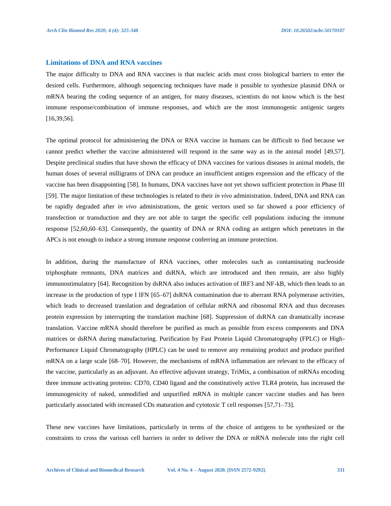## **Limitations of DNA and RNA vaccines**

The major difficulty to DNA and RNA vaccines is that nucleic acids must cross biological barriers to enter the desired cells. Furthermore, although sequencing techniques have made it possible to synthesize plasmid DNA or mRNA bearing the coding sequence of an antigen, for many diseases, scientists do not know which is the best immune response/combination of immune responses, and which are the most immunogenic antigenic targets [16,39,56].

The optimal protocol for administering the DNA or RNA vaccine in humans can be difficult to find because we cannot predict whether the vaccine administered will respond in the same way as in the animal model [49,57]. Despite preclinical studies that have shown the efficacy of DNA vaccines for various diseases in animal models, the human doses of several milligrams of DNA can produce an insufficient antigen expression and the efficacy of the vaccine has been disappointing [58]. In humans, DNA vaccines have not yet shown sufficient protection in Phase III [59]. The major limitation of these technologies is related to their *in vivo* administration. Indeed, DNA and RNA can be rapidly degraded after *in vivo* administrations, the genic vectors used so far showed a poor efficiency of transfection or transduction and they are not able to target the specific cell populations inducing the immune response [52,60,60–63]. Consequently, the quantity of DNA or RNA coding an antigen which penetrates in the APCs is not enough to induce a strong immune response conferring an immune protection.

In addition, during the manufacture of RNA vaccines, other molecules such as contaminating nucleoside triphosphate remnants, DNA matrices and dsRNA, which are introduced and then remain, are also highly immunostimulatory [64]. Recognition by dsRNA also induces activation of IRF3 and NF-kB, which then leads to an increase in the production of type I IFN [65–67] dsRNA contamination due to aberrant RNA polymerase activities, which leads to decreased translation and degradation of cellular mRNA and ribosomal RNA and thus decreases protein expression by interrupting the translation machine [68]. Suppression of dsRNA can dramatically increase translation. Vaccine mRNA should therefore be purified as much as possible from excess components and DNA matrices or dsRNA during manufacturing. Purification by Fast Protein Liquid Chromatography (FPLC) or High-Performance Liquid Chromatography (HPLC) can be used to remove any remaining product and produce purified mRNA on a large scale [68–70]. However, the mechanisms of mRNA inflammation are relevant to the efficacy of the vaccine, particularly as an adjuvant. An effective adjuvant strategy, TriMix, a combination of mRNAs encoding three immune activating proteins: CD70, CD40 ligand and the constitutively active TLR4 protein, has increased the immunogenicity of naked, unmodified and unpurified mRNA in multiple cancer vaccine studies and has been particularly associated with increased CDs maturation and cytotoxic T cell responses [57,71–73].

These new vaccines have limitations, particularly in terms of the choice of antigens to be synthesized or the constraints to cross the various cell barriers in order to deliver the DNA or mRNA molecule into the right cell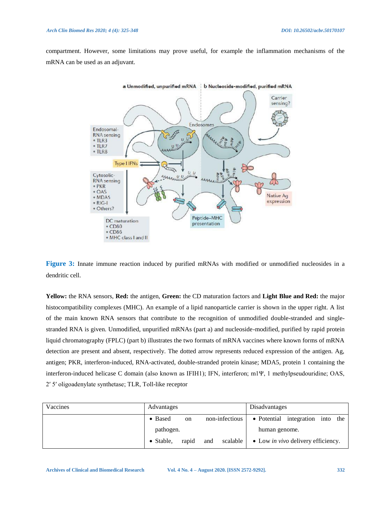compartment. However, some limitations may prove useful, for example the inflammation mechanisms of the mRNA can be used as an adjuvant.



**Figure 3:** Innate immune reaction induced by purified mRNAs with modified or unmodified nucleosides in a dendritic cell.

**Yellow:** the RNA sensors, **Red:** the antigen, **Green:** the CD maturation factors and **Light Blue and Red:** the major histocompatibility complexes (MHC). An example of a lipid nanoparticle carrier is shown in the upper right. A list of the main known RNA sensors that contribute to the recognition of unmodified double-stranded and singlestranded RNA is given. Unmodified, unpurified mRNAs (part a) and nucleoside-modified, purified by rapid protein liquid chromatography (FPLC) (part b) illustrates the two formats of mRNA vaccines where known forms of mRNA detection are present and absent, respectively. The dotted arrow represents reduced expression of the antigen. Ag, antigen; PKR, interferon-induced, RNA-activated, double-stranded protein kinase; MDA5, protein 1 containing the interferon-induced helicase C domain (also known as IFIH1); IFN, interferon; m1Ψ, 1 methylpseudouridine; OAS, 2ʹ 5ʹ oligoadenylate synthetase; TLR, Toll-like receptor

| Vaccines | Advantages                 |                   | Disadvantages                             |
|----------|----------------------------|-------------------|-------------------------------------------|
|          | • Based<br>on              | non-infectious    | • Potential integration into the          |
|          | pathogen.                  |                   | human genome.                             |
|          | rapid<br>$\bullet$ Stable, | scalable  <br>and | • Low <i>in vivo</i> delivery efficiency. |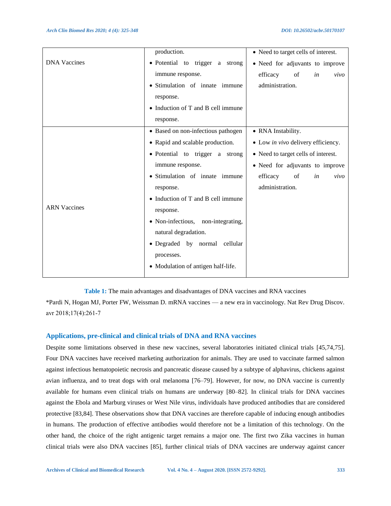|                     | production.                        | • Need to target cells of interest. |
|---------------------|------------------------------------|-------------------------------------|
| <b>DNA</b> Vaccines | · Potential to trigger a strong    | • Need for adjuvants to improve     |
|                     | immune response.                   | of<br>in<br>efficacy<br>vivo        |
|                     | • Stimulation of innate immune     | administration.                     |
|                     | response.                          |                                     |
|                     | • Induction of T and B cell immune |                                     |
|                     | response.                          |                                     |
| <b>ARN Vaccines</b> | • Based on non-infectious pathogen | • RNA Instability.                  |
|                     | • Rapid and scalable production.   | • Low in vivo delivery efficiency.  |
|                     | • Potential to trigger a strong    | • Need to target cells of interest. |
|                     | immune response.                   | • Need for adjuvants to improve     |
|                     | • Stimulation of innate immune     | efficacy<br>of<br>in<br>vivo        |
|                     | response.                          | administration.                     |
|                     | • Induction of T and B cell immune |                                     |
|                     | response.                          |                                     |
|                     | • Non-infectious, non-integrating, |                                     |
|                     | natural degradation.               |                                     |
|                     | • Degraded by normal cellular      |                                     |
|                     | processes.                         |                                     |
|                     | • Modulation of antigen half-life. |                                     |
|                     |                                    |                                     |

**Table 1:** The main advantages and disadvantages of DNA vaccines and RNA vaccines

\*Pardi N, Hogan MJ, Porter FW, Weissman D. mRNA vaccines — a new era in vaccinology. Nat Rev Drug Discov. avr 2018;17(4):261‑7

#### **Applications, pre-clinical and clinical trials of DNA and RNA vaccines**

Despite some limitations observed in these new vaccines, several laboratories initiated clinical trials [45,74,75]. Four DNA vaccines have received marketing authorization for animals. They are used to vaccinate farmed salmon against infectious hematopoietic necrosis and pancreatic disease caused by a subtype of alphavirus, chickens against avian influenza, and to treat dogs with oral melanoma [76–79]. However, for now, no DNA vaccine is currently available for humans even clinical trials on humans are underway [80–82]. In clinical trials for DNA vaccines against the Ebola and Marburg viruses or West Nile virus, individuals have produced antibodies that are considered protective [83,84]. These observations show that DNA vaccines are therefore capable of inducing enough antibodies in humans. The production of effective antibodies would therefore not be a limitation of this technology. On the other hand, the choice of the right antigenic target remains a major one. The first two Zika vaccines in human clinical trials were also DNA vaccines [85], further clinical trials of DNA vaccines are underway against cancer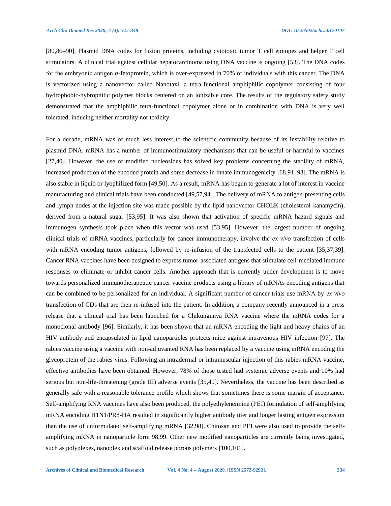[80,86–90]. Plasmid DNA codes for fusion proteins, including cytotoxic tumor T cell epitopes and helper T cell stimulators. A clinical trial against cellular hepatocarcinoma using DNA vaccine is ongoing [53]. The DNA codes for the embryonic antigen  $\alpha$ -fetoprotein, which is over-expressed in 70% of individuals with this cancer. The DNA is vectorized using a nanovector called Nanotaxi, a tetra-functional amphiphilic copolymer consisting of four hydrophobic-hybrophilic polymer blocks centered on an ionizable core. The results of the regulatory safety study demonstrated that the amphiphilic tetra-functional copolymer alone or in combination with DNA is very well tolerated, inducing neither mortality nor toxicity.

For a decade, mRNA was of much less interest to the scientific community because of its instability relative to plasmid DNA. mRNA has a number of immunostimulatory mechanisms that can be useful or harmful to vaccines [27,40]. However, the use of modified nucleosides has solved key problems concerning the stability of mRNA, increased production of the encoded protein and some decrease in innate immunogenicity [68,91–93]. The mRNA is also stable in liquid or lyophilized form [49,50]. As a result, mRNA has begun to generate a lot of interest in vaccine manufacturing and clinical trials have been conducted [49,57,94]. The delivery of mRNA to antigen-presenting cells and lymph nodes at the injection site was made possible by the lipid nanovector CHOLK (cholesterol-kanamycin), derived from a natural sugar [53,95]. It was also shown that activation of specific mRNA hazard signals and immunogen synthesis took place when this vector was used [53,95]. However, the largest number of ongoing clinical trials of mRNA vaccines, particularly for cancer immunotherapy, involve the *ex vivo* transfection of cells with mRNA encoding tumor antigens, followed by re-infusion of the transfected cells to the patient [35,37,39]. Cancer RNA vaccines have been designed to express tumor-associated antigens that stimulate cell-mediated immune responses to eliminate or inhibit cancer cells. Another approach that is currently under development is to move towards personalized immunotherapeutic cancer vaccine products using a library of mRNAs encoding antigens that can be combined to be personalized for an individual. A significant number of cancer trials use mRNA by *ex vivo*  transfection of CDs that are then re-infused into the patient. In addition, a company recently announced in a press release that a clinical trial has been launched for a Chikungunya RNA vaccine where the mRNA codes for a monoclonal antibody [96]. Similarly, it has been shown that an mRNA encoding the light and heavy chains of an HIV antibody and encapsulated in lipid nanoparticles protects mice against intravenous HIV infection [97]. The rabies vaccine using a vaccine with non-adjuvanted RNA has been replaced by a vaccine using mRNA encoding the glycoprotein of the rabies virus. Following an intradermal or intramuscular injection of this rabies mRNA vaccine, effective antibodies have been obtained. However, 78% of those tested had systemic adverse events and 10% had serious but non-life-threatening (grade III) adverse events [35,49]. Nevertheless, the vaccine has been described as generally safe with a reasonable tolerance profile which shows that sometimes there is some margin of acceptance. Self-amplifying RNA vaccines have also been produced, the polyethyleneimine (PEI) formulation of self-amplifying mRNA encoding H1N1/PR8-HA resulted in significantly higher antibody titer and longer lasting antigen expression than the use of unformulated self-amplifying mRNA [32,98]. Chitosan and PEI were also used to provide the selfamplifying mRNA in nanoparticle form 98,99. Other new modified nanoparticles are currently being investigated, such as polyplexes, nanoplex and scaffold release porous polymers [100,101].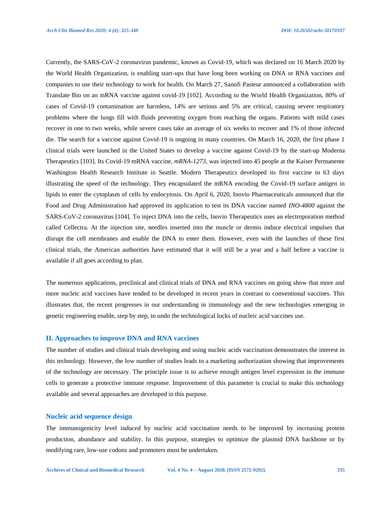Currently, the SARS-CoV-2 coronavirus pandemic, known as Covid-19, which was declared on 16 March 2020 by the World Health Organization, is enabling start-ups that have long been working on DNA or RNA vaccines and companies to use their technology to work for health. On March 27, Sanofi Pasteur announced a collaboration with Translate Bio on an mRNA vaccine against covid-19 [102]. According to the World Health Organization, 80% of cases of Covid-19 contamination are harmless, 14% are serious and 5% are critical, causing severe respiratory problems where the lungs fill with fluids preventing oxygen from reaching the organs. Patients with mild cases recover in one to two weeks, while severe cases take an average of six weeks to recover and 1% of those infected die. The search for a vaccine against Covid-19 is ongoing in many countries. On March 16, 2020, the first phase 1 clinical trials were launched in the United States to develop a vaccine against Covid-19 by the start-up Moderna Therapeutics [103]. Its Covid-19 mRNA vaccine, *mRNA-1273*, was injected into 45 people at the Kaiser Permanente Washington Health Research Institute in Seattle. Modern Therapeutics developed its first vaccine in 63 days illustrating the speed of the technology. They encapsulated the mRNA encoding the Covid-19 surface antigen in lipids to enter the cytoplasm of cells by endocytosis. On April 6, 2020, Inovio Pharmaceuticals announced that the Food and Drug Administration had approved its application to test its DNA vaccine named *INO-4800* against the SARS-CoV-2 coronavirus [104]. To inject DNA into the cells, Inovio Therapeutics uses an electroporation method called Cellectra. At the injection site, needles inserted into the muscle or dermis induce electrical impulses that disrupt the cell membranes and enable the DNA to enter them. However, even with the launches of these first clinical trials, the American authorities have estimated that it will still be a year and a half before a vaccine is available if all goes according to plan.

The numerous applications, preclinical and clinical trials of DNA and RNA vaccines on going show that more and more nucleic acid vaccines have tended to be developed in recent years in contrast to conventional vaccines. This illustrates that, the recent progresses in our understanding in immunology and the new technologies emerging in genetic engineering enable, step by step, to undo the technological locks of nucleic acid vaccines use.

#### **II. Approaches to improve DNA and RNA vaccines**

The number of studies and clinical trials developing and using nucleic acids vaccination demonstrates the interest in this technology. However, the low number of studies leads to a marketing authorization showing that improvements of the technology are necessary. The principle issue is to achieve enough antigen level expression in the immune cells to generate a protective immune response. Improvement of this parameter is crucial to make this technology available and several approaches are developed in this purpose.

#### **Nucleic acid sequence design**

The immunogenicity level induced by nucleic acid vaccination needs to be improved by increasing protein production, abundance and stability. In this purpose, strategies to optimize the plasmid DNA backbone or by modifying rare, low-use codons and promoters must be undertaken.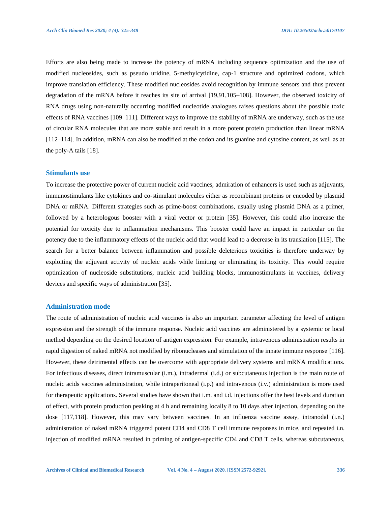Efforts are also being made to increase the potency of mRNA including sequence optimization and the use of modified nucleosides, such as pseudo uridine, 5-methylcytidine, cap-1 structure and optimized codons, which improve translation efficiency. These modified nucleosides avoid recognition by immune sensors and thus prevent degradation of the mRNA before it reaches its site of arrival [19,91,105–108]. However, the observed toxicity of RNA drugs using non-naturally occurring modified nucleotide analogues raises questions about the possible toxic effects of RNA vaccines [109–111]. Different ways to improve the stability of mRNA are underway, such as the use of circular RNA molecules that are more stable and result in a more potent protein production than linear mRNA [112–114]. In addition, mRNA can also be modified at the codon and its guanine and cytosine content, as well as at the poly-A tails [18].

#### **Stimulants use**

To increase the protective power of current nucleic acid vaccines, admiration of enhancers is used such as adjuvants, immunostimulants like cytokines and co-stimulant molecules either as recombinant proteins or encoded by plasmid DNA or mRNA. Different strategies such as prime-boost combinations, usually using plasmid DNA as a primer, followed by a heterologous booster with a viral vector or protein [35]. However, this could also increase the potential for toxicity due to inflammation mechanisms. This booster could have an impact in particular on the potency due to the inflammatory effects of the nucleic acid that would lead to a decrease in its translation [115]. The search for a better balance between inflammation and possible deleterious toxicities is therefore underway by exploiting the adjuvant activity of nucleic acids while limiting or eliminating its toxicity. This would require optimization of nucleoside substitutions, nucleic acid building blocks, immunostimulants in vaccines, delivery devices and specific ways of administration [35].

## **Administration mode**

The route of administration of nucleic acid vaccines is also an important parameter affecting the level of antigen expression and the strength of the immune response. Nucleic acid vaccines are administered by a systemic or local method depending on the desired location of antigen expression. For example, intravenous administration results in rapid digestion of naked mRNA not modified by ribonucleases and stimulation of the innate immune response [116]. However, these detrimental effects can be overcome with appropriate delivery systems and mRNA modifications. For infectious diseases, direct intramuscular (i.m.), intradermal (i.d.) or subcutaneous injection is the main route of nucleic acids vaccines administration, while intraperitoneal (i.p.) and intravenous (i.v.) administration is more used for therapeutic applications. Several studies have shown that i.m. and i.d. injections offer the best levels and duration of effect, with protein production peaking at 4 h and remaining locally 8 to 10 days after injection, depending on the dose [117,118]. However, this may vary between vaccines. In an influenza vaccine assay, intranodal (i.n.) administration of naked mRNA triggered potent CD4 and CD8 T cell immune responses in mice, and repeated i.n. injection of modified mRNA resulted in priming of antigen-specific CD4 and CD8 T cells, whereas subcutaneous,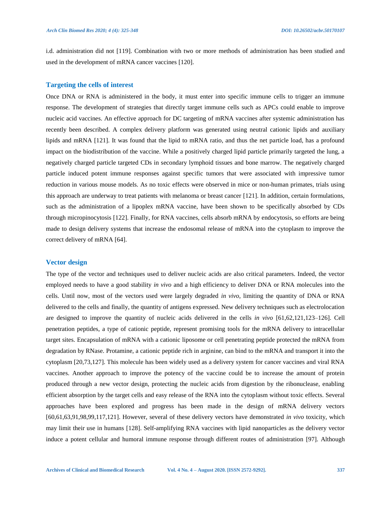i.d. administration did not [119]. Combination with two or more methods of administration has been studied and used in the development of mRNA cancer vaccines [120].

### **Targeting the cells of interest**

Once DNA or RNA is administered in the body, it must enter into specific immune cells to trigger an immune response. The development of strategies that directly target immune cells such as APCs could enable to improve nucleic acid vaccines. An effective approach for DC targeting of mRNA vaccines after systemic administration has recently been described. A complex delivery platform was generated using neutral cationic lipids and auxiliary lipids and mRNA [121]. It was found that the lipid to mRNA ratio, and thus the net particle load, has a profound impact on the biodistribution of the vaccine. While a positively charged lipid particle primarily targeted the lung, a negatively charged particle targeted CDs in secondary lymphoid tissues and bone marrow. The negatively charged particle induced potent immune responses against specific tumors that were associated with impressive tumor reduction in various mouse models. As no toxic effects were observed in mice or non-human primates, trials using this approach are underway to treat patients with melanoma or breast cancer [121]. In addition, certain formulations, such as the administration of a lipoplex mRNA vaccine, have been shown to be specifically absorbed by CDs through micropinocytosis [122]. Finally, for RNA vaccines, cells absorb mRNA by endocytosis, so efforts are being made to design delivery systems that increase the endosomal release of mRNA into the cytoplasm to improve the correct delivery of mRNA [64].

#### **Vector design**

The type of the vector and techniques used to deliver nucleic acids are also critical parameters. Indeed, the vector employed needs to have a good stability *in vivo* and a high efficiency to deliver DNA or RNA molecules into the cells. Until now, most of the vectors used were largely degraded *in vivo*, limiting the quantity of DNA or RNA delivered to the cells and finally, the quantity of antigens expressed. New delivery techniques such as electrolocation are designed to improve the quantity of nucleic acids delivered in the cells *in vivo* [61,62,121,123–126]. Cell penetration peptides, a type of cationic peptide, represent promising tools for the mRNA delivery to intracellular target sites. Encapsulation of mRNA with a cationic liposome or cell penetrating peptide protected the mRNA from degradation by RNase. Protamine, a cationic peptide rich in arginine, can bind to the mRNA and transport it into the cytoplasm [20,73,127]. This molecule has been widely used as a delivery system for cancer vaccines and viral RNA vaccines. Another approach to improve the potency of the vaccine could be to increase the amount of protein produced through a new vector design, protecting the nucleic acids from digestion by the ribonuclease, enabling efficient absorption by the target cells and easy release of the RNA into the cytoplasm without toxic effects. Several approaches have been explored and progress has been made in the design of mRNA delivery vectors [60,61,63,91,98,99,117,121]. However, several of these delivery vectors have demonstrated *in vivo* toxicity, which may limit their use in humans [128]. Self-amplifying RNA vaccines with lipid nanoparticles as the delivery vector induce a potent cellular and humoral immune response through different routes of administration [97]. Although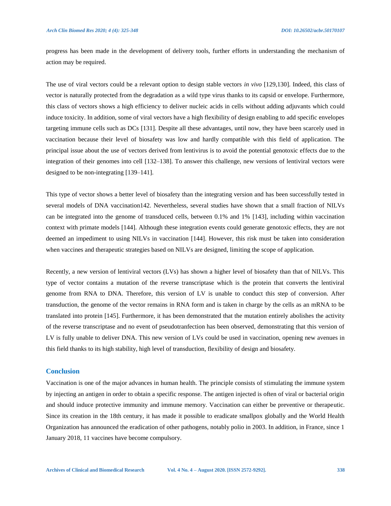progress has been made in the development of delivery tools, further efforts in understanding the mechanism of action may be required.

The use of viral vectors could be a relevant option to design stable vectors *in vivo* [129,130]. Indeed, this class of vector is naturally protected from the degradation as a wild type virus thanks to its capsid or envelope. Furthermore, this class of vectors shows a high efficiency to deliver nucleic acids in cells without adding adjuvants which could induce toxicity. In addition, some of viral vectors have a high flexibility of design enabling to add specific envelopes targeting immune cells such as DCs [131]. Despite all these advantages, until now, they have been scarcely used in vaccination because their level of biosafety was low and hardly compatible with this field of application. The principal issue about the use of vectors derived from lentivirus is to avoid the potential genotoxic effects due to the integration of their genomes into cell [132–138]. To answer this challenge, new versions of lentiviral vectors were designed to be non-integrating [139–141].

This type of vector shows a better level of biosafety than the integrating version and has been successfully tested in several models of DNA vaccination142. Nevertheless, several studies have shown that a small fraction of NILVs can be integrated into the genome of transduced cells, between 0.1% and 1% [143], including within vaccination context with primate models [144]. Although these integration events could generate genotoxic effects, they are not deemed an impediment to using NILVs in vaccination [144]. However, this risk must be taken into consideration when vaccines and therapeutic strategies based on NILVs are designed, limiting the scope of application.

Recently, a new version of lentiviral vectors (LVs) has shown a higher level of biosafety than that of NILVs. This type of vector contains a mutation of the reverse transcriptase which is the protein that converts the lentiviral genome from RNA to DNA. Therefore, this version of LV is unable to conduct this step of conversion. After transduction, the genome of the vector remains in RNA form and is taken in charge by the cells as an mRNA to be translated into protein [145]. Furthermore, it has been demonstrated that the mutation entirely abolishes the activity of the reverse transcriptase and no event of pseudotranfection has been observed, demonstrating that this version of LV is fully unable to deliver DNA. This new version of LVs could be used in vaccination, opening new avenues in this field thanks to its high stability, high level of transduction, flexibility of design and biosafety.

#### **Conclusion**

Vaccination is one of the major advances in human health. The principle consists of stimulating the immune system by injecting an antigen in order to obtain a specific response. The antigen injected is often of viral or bacterial origin and should induce protective immunity and immune memory. Vaccination can either be preventive or therapeutic. Since its creation in the 18th century, it has made it possible to eradicate smallpox globally and the World Health Organization has announced the eradication of other pathogens, notably polio in 2003. In addition, in France, since 1 January 2018, 11 vaccines have become compulsory.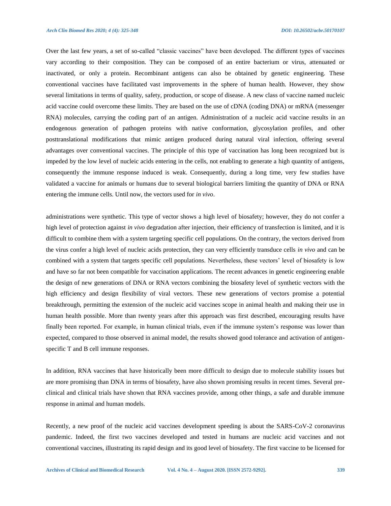Over the last few years, a set of so-called "classic vaccines" have been developed. The different types of vaccines vary according to their composition. They can be composed of an entire bacterium or virus, attenuated or inactivated, or only a protein. Recombinant antigens can also be obtained by genetic engineering. These conventional vaccines have facilitated vast improvements in the sphere of human health. However, they show several limitations in terms of quality, safety, production, or scope of disease. A new class of vaccine named nucleic acid vaccine could overcome these limits. They are based on the use of cDNA (coding DNA) or mRNA (messenger RNA) molecules, carrying the coding part of an antigen. Administration of a nucleic acid vaccine results in an endogenous generation of pathogen proteins with native conformation, glycosylation profiles, and other posttranslational modifications that mimic antigen produced during natural viral infection, offering several advantages over conventional vaccines. The principle of this type of vaccination has long been recognized but is impeded by the low level of nucleic acids entering in the cells, not enabling to generate a high quantity of antigens, consequently the immune response induced is weak. Consequently, during a long time, very few studies have validated a vaccine for animals or humans due to several biological barriers limiting the quantity of DNA or RNA entering the immune cells. Until now, the vectors used for *in vivo*.

administrations were synthetic. This type of vector shows a high level of biosafety; however, they do not confer a high level of protection against *in vivo* degradation after injection, their efficiency of transfection is limited, and it is difficult to combine them with a system targeting specific cell populations. On the contrary, the vectors derived from the virus confer a high level of nucleic acids protection, they can very efficiently transduce cells *in vivo* and can be combined with a system that targets specific cell populations. Nevertheless, these vectors' level of biosafety is low and have so far not been compatible for vaccination applications. The recent advances in genetic engineering enable the design of new generations of DNA or RNA vectors combining the biosafety level of synthetic vectors with the high efficiency and design flexibility of viral vectors. These new generations of vectors promise a potential breakthrough, permitting the extension of the nucleic acid vaccines scope in animal health and making their use in human health possible. More than twenty years after this approach was first described, encouraging results have finally been reported. For example, in human clinical trials, even if the immune system's response was lower than expected, compared to those observed in animal model, the results showed good tolerance and activation of antigenspecific T and B cell immune responses.

In addition, RNA vaccines that have historically been more difficult to design due to molecule stability issues but are more promising than DNA in terms of biosafety, have also shown promising results in recent times. Several preclinical and clinical trials have shown that RNA vaccines provide, among other things, a safe and durable immune response in animal and human models.

Recently, a new proof of the nucleic acid vaccines development speeding is about the SARS-CoV-2 coronavirus pandemic. Indeed, the first two vaccines developed and tested in humans are nucleic acid vaccines and not conventional vaccines, illustrating its rapid design and its good level of biosafety. The first vaccine to be licensed for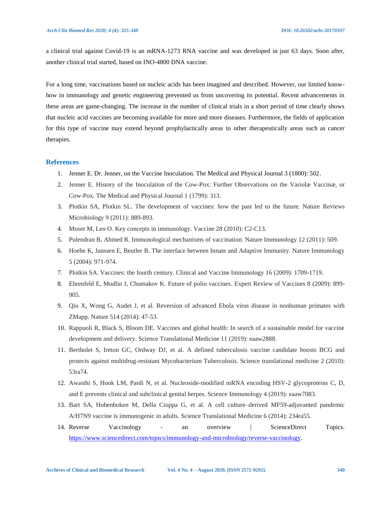a clinical trial against Covid-19 is an mRNA-1273 RNA vaccine and was developed in just 63 days. Soon after, another clinical trial started, based on INO-4800 DNA vaccine.

For a long time, vaccinations based on nucleic acids has been imagined and described. However, our limited knowhow in immunology and genetic engineering prevented us from uncovering its potential. Recent advancements in these areas are game-changing. The increase in the number of clinical trials in a short period of time clearly shows that nucleic acid vaccines are becoming available for more and more diseases. Furthermore, the fields of application for this type of vaccine may extend beyond prophylactically areas to other therapeutically areas such as cancer therapies.

## **References**

- 1. Jenner E. Dr. Jenner, on the Vaccine Inoculation. The Medical and Physical Journal 3 (1800): 502.
- 2. Jenner E. History of the Inoculation of the Cow-Pox: Further Observations on the Variolæ Vaccinæ, or Cow-Pox. The Medical and Physical Journal 1 (1799): 313.
- 3. Plotkin SA, Plotkin SL. The development of vaccines: how the past led to the future. Nature Reviews Microbiology 9 (2011): 889-893.
- 4. Moser M, Leo O. Key concepts in immunology. Vaccine 28 (2010): C2-C13.
- 5. Pulendran B, Ahmed R. Immunological mechanisms of vaccination. Nature Immunology 12 (2011): 509.
- 6. Hoebe K, Janssen E, Beutler B. The interface between Innate and Adaptive Immunity. Nature Immunology 5 (2004): 971-974.
- 7. Plotkin SA. Vaccines: the fourth century. Clinical and Vaccine Immunology 16 (2009): 1709-1719.
- 8. Ehrenfeld E, Modlin J, Chumakov K. Future of polio vaccines. Expert Review of Vaccines 8 (2009): 899- 905.
- 9. Qiu X, Wong G, Audet J, et al. Reversion of advanced Ebola virus disease in nonhuman primates with ZMapp. Nature 514 (2014): 47-53.
- 10. Rappuoli R, Black S, Bloom DE. Vaccines and global health: In search of a sustainable model for vaccine development and delivery. Science Translational Medicine 11 (2019): eaaw2888.
- 11. Bertholet S, Ireton GC, Ordway DJ, et al. A defined tuberculosis vaccine candidate boosts BCG and protects against multidrug-resistant Mycobacterium Tuberculosis. Science translational medicine 2 (2010): 53ra74.
- 12. Awasthi S, Hook LM, Pardi N, et al. Nucleoside-modified mRNA encoding HSV-2 glycoproteins C, D, and E prevents clinical and subclinical genital herpes. Science Immunology 4 (2019): eaaw7083.
- 13. Bart SA, Hohenboken M, Della Cioppa G, et al. A cell culture–derived MF59-adjuvanted pandemic A/H7N9 vaccine is immunogenic in adults. Science Translational Medicine 6 (2014): 234ra55.
- 14. Reverse Vaccinology an overview | ScienceDirect Topics. [https://www.sciencedirect.com/topics/immunology-and-microbiology/reverse-vaccinology.](https://www.sciencedirect.com/topics/immunology-and-microbiology/reverse-vaccinology)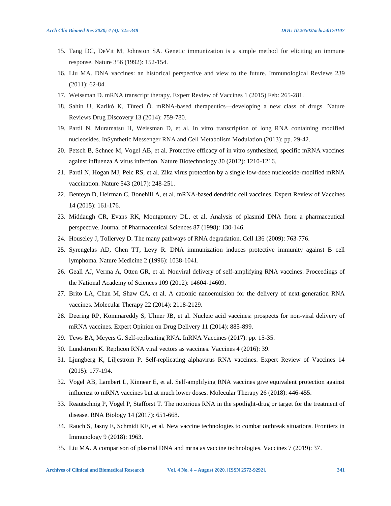- 15. Tang DC, DeVit M, Johnston SA. Genetic immunization is a simple method for eliciting an immune response. Nature 356 (1992): 152-154.
- 16. Liu MA. DNA vaccines: an historical perspective and view to the future. Immunological Reviews 239 (2011): 62-84.
- 17. Weissman D. mRNA transcript therapy. Expert Review of Vaccines 1 (2015) Feb: 265-281.
- 18. Sahin U, Karikó K, Türeci Ö. mRNA-based therapeutics—developing a new class of drugs. Nature Reviews Drug Discovery 13 (2014): 759-780.
- 19. Pardi N, Muramatsu H, Weissman D, et al. In vitro transcription of long RNA containing modified nucleosides. InSynthetic Messenger RNA and Cell Metabolism Modulation (2013): pp. 29-42.
- 20. Petsch B, Schnee M, Vogel AB, et al. Protective efficacy of in vitro synthesized, specific mRNA vaccines against influenza A virus infection. Nature Biotechnology 30 (2012): 1210-1216.
- 21. Pardi N, Hogan MJ, Pelc RS, et al. Zika virus protection by a single low-dose nucleoside-modified mRNA vaccination. Nature 543 (2017): 248-251.
- 22. Benteyn D, Heirman C, Bonehill A, et al. mRNA-based dendritic cell vaccines. Expert Review of Vaccines 14 (2015): 161-176.
- 23. Middaugh CR, Evans RK, Montgomery DL, et al. Analysis of plasmid DNA from a pharmaceutical perspective. Journal of Pharmaceutical Sciences 87 (1998): 130-146.
- 24. Houseley J, Tollervey D. The many pathways of RNA degradation. Cell 136 (2009): 763-776.
- 25. Syrengelas AD, Chen TT, Levy R. DNA immunization induces protective immunity against B–cell lymphoma. Nature Medicine 2 (1996): 1038-1041.
- 26. Geall AJ, Verma A, Otten GR, et al. Nonviral delivery of self-amplifying RNA vaccines. Proceedings of the National Academy of Sciences 109 (2012): 14604-14609.
- 27. Brito LA, Chan M, Shaw CA, et al. A cationic nanoemulsion for the delivery of next-generation RNA vaccines. Molecular Therapy 22 (2014): 2118-2129.
- 28. Deering RP, Kommareddy S, Ulmer JB, et al. Nucleic acid vaccines: prospects for non-viral delivery of mRNA vaccines. Expert Opinion on Drug Delivery 11 (2014): 885-899.
- 29. Tews BA, Meyers G. Self-replicating RNA. InRNA Vaccines (2017): pp. 15-35.
- 30. Lundstrom K. Replicon RNA viral vectors as vaccines. Vaccines 4 (2016): 39.
- 31. Ljungberg K, Liljeström P. Self-replicating alphavirus RNA vaccines. Expert Review of Vaccines 14 (2015): 177-194.
- 32. Vogel AB, Lambert L, Kinnear E, et al. Self-amplifying RNA vaccines give equivalent protection against influenza to mRNA vaccines but at much lower doses. Molecular Therapy 26 (2018): 446-455.
- 33. Reautschnig P, Vogel P, Stafforst T. The notorious RNA in the spotlight-drug or target for the treatment of disease. RNA Biology 14 (2017): 651-668.
- 34. Rauch S, Jasny E, Schmidt KE, et al. New vaccine technologies to combat outbreak situations. Frontiers in Immunology 9 (2018): 1963.
- 35. Liu MA. A comparison of plasmid DNA and mrna as vaccine technologies. Vaccines 7 (2019): 37.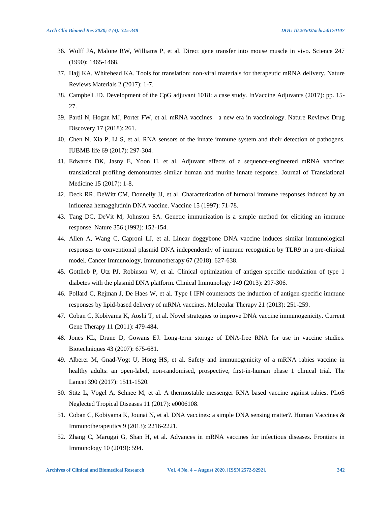- 36. Wolff JA, Malone RW, Williams P, et al. Direct gene transfer into mouse muscle in vivo. Science 247 (1990): 1465-1468.
- 37. Hajj KA, Whitehead KA. Tools for translation: non-viral materials for therapeutic mRNA delivery. Nature Reviews Materials 2 (2017): 1-7.
- 38. Campbell JD. Development of the CpG adjuvant 1018: a case study. InVaccine Adjuvants (2017): pp. 15- 27.
- 39. Pardi N, Hogan MJ, Porter FW, et al. mRNA vaccines—a new era in vaccinology. Nature Reviews Drug Discovery 17 (2018): 261.
- 40. Chen N, Xia P, Li S, et al. RNA sensors of the innate immune system and their detection of pathogens. IUBMB life 69 (2017): 297-304.
- 41. Edwards DK, Jasny E, Yoon H, et al. Adjuvant effects of a sequence-engineered mRNA vaccine: translational profiling demonstrates similar human and murine innate response. Journal of Translational Medicine 15 (2017): 1-8.
- 42. Deck RR, DeWitt CM, Donnelly JJ, et al. Characterization of humoral immune responses induced by an influenza hemagglutinin DNA vaccine. Vaccine 15 (1997): 71-78.
- 43. Tang DC, DeVit M, Johnston SA. Genetic immunization is a simple method for eliciting an immune response. Nature 356 (1992): 152-154.
- 44. Allen A, Wang C, Caproni LJ, et al. Linear doggybone DNA vaccine induces similar immunological responses to conventional plasmid DNA independently of immune recognition by TLR9 in a pre-clinical model. Cancer Immunology, Immunotherapy 67 (2018): 627-638.
- 45. Gottlieb P, Utz PJ, Robinson W, et al. Clinical optimization of antigen specific modulation of type 1 diabetes with the plasmid DNA platform. Clinical Immunology 149 (2013): 297-306.
- 46. Pollard C, Rejman J, De Haes W, et al. Type I IFN counteracts the induction of antigen-specific immune responses by lipid-based delivery of mRNA vaccines. Molecular Therapy 21 (2013): 251-259.
- 47. Coban C, Kobiyama K, Aoshi T, et al. Novel strategies to improve DNA vaccine immunogenicity. Current Gene Therapy 11 (2011): 479-484.
- 48. Jones KL, Drane D, Gowans EJ. Long-term storage of DNA-free RNA for use in vaccine studies. Biotechniques 43 (2007): 675-681.
- 49. Alberer M, Gnad-Vogt U, Hong HS, et al. Safety and immunogenicity of a mRNA rabies vaccine in healthy adults: an open-label, non-randomised, prospective, first-in-human phase 1 clinical trial. The Lancet 390 (2017): 1511-1520.
- 50. Stitz L, Vogel A, Schnee M, et al. A thermostable messenger RNA based vaccine against rabies. PLoS Neglected Tropical Diseases 11 (2017): e0006108.
- 51. Coban C, Kobiyama K, Jounai N, et al. DNA vaccines: a simple DNA sensing matter?. Human Vaccines & Immunotherapeutics 9 (2013): 2216-2221.
- 52. Zhang C, Maruggi G, Shan H, et al. Advances in mRNA vaccines for infectious diseases. Frontiers in Immunology 10 (2019): 594.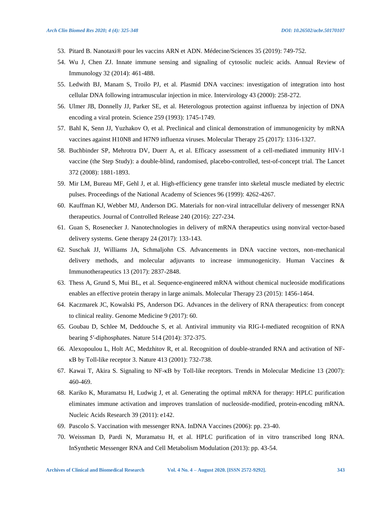- 53. Pitard B. Nanotaxi® pour les vaccins ARN et ADN. Médecine/Sciences 35 (2019): 749-752.
- 54. Wu J, Chen ZJ. Innate immune sensing and signaling of cytosolic nucleic acids. Annual Review of Immunology 32 (2014): 461-488.
- 55. Ledwith BJ, Manam S, Troilo PJ, et al. Plasmid DNA vaccines: investigation of integration into host cellular DNA following intramuscular injection in mice. Intervirology 43 (2000): 258-272.
- 56. Ulmer JB, Donnelly JJ, Parker SE, et al. Heterologous protection against influenza by injection of DNA encoding a viral protein. Science 259 (1993): 1745-1749.
- 57. Bahl K, Senn JJ, Yuzhakov O, et al. Preclinical and clinical demonstration of immunogenicity by mRNA vaccines against H10N8 and H7N9 influenza viruses. Molecular Therapy 25 (2017): 1316-1327.
- 58. Buchbinder SP, Mehrotra DV, Duerr A, et al. Efficacy assessment of a cell-mediated immunity HIV-1 vaccine (the Step Study): a double-blind, randomised, placebo-controlled, test-of-concept trial. The Lancet 372 (2008): 1881-1893.
- 59. Mir LM, Bureau MF, Gehl J, et al. High-efficiency gene transfer into skeletal muscle mediated by electric pulses. Proceedings of the National Academy of Sciences 96 (1999): 4262-4267.
- 60. Kauffman KJ, Webber MJ, Anderson DG. Materials for non-viral intracellular delivery of messenger RNA therapeutics. Journal of Controlled Release 240 (2016): 227-234.
- 61. Guan S, Rosenecker J. Nanotechnologies in delivery of mRNA therapeutics using nonviral vector-based delivery systems. Gene therapy 24 (2017): 133-143.
- 62. Suschak JJ, Williams JA, Schmaljohn CS. Advancements in DNA vaccine vectors, non-mechanical delivery methods, and molecular adjuvants to increase immunogenicity. Human Vaccines & Immunotherapeutics 13 (2017): 2837-2848.
- 63. Thess A, Grund S, Mui BL, et al. Sequence-engineered mRNA without chemical nucleoside modifications enables an effective protein therapy in large animals. Molecular Therapy 23 (2015): 1456-1464.
- 64. Kaczmarek JC, Kowalski PS, Anderson DG. Advances in the delivery of RNA therapeutics: from concept to clinical reality. Genome Medicine 9 (2017): 60.
- 65. Goubau D, Schlee M, Deddouche S, et al. Antiviral immunity via RIG-I-mediated recognition of RNA bearing 5′-diphosphates. Nature 514 (2014): 372-375.
- 66. Alexopoulou L, Holt AC, Medzhitov R, et al. Recognition of double-stranded RNA and activation of NFκB by Toll-like receptor 3. Nature 413 (2001): 732-738.
- 67. Kawai T, Akira S. Signaling to NF-κB by Toll-like receptors. Trends in Molecular Medicine 13 (2007): 460-469.
- 68. Kariko K, Muramatsu H, Ludwig J, et al. Generating the optimal mRNA for therapy: HPLC purification eliminates immune activation and improves translation of nucleoside-modified, protein-encoding mRNA. Nucleic Acids Research 39 (2011): e142.
- 69. Pascolo S. Vaccination with messenger RNA. InDNA Vaccines (2006): pp. 23-40.
- 70. Weissman D, Pardi N, Muramatsu H, et al. HPLC purification of in vitro transcribed long RNA. InSynthetic Messenger RNA and Cell Metabolism Modulation (2013): pp. 43-54.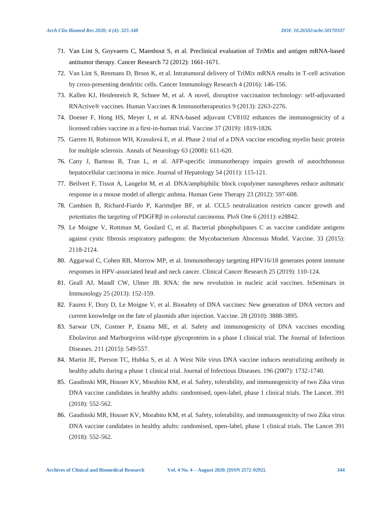- 71. Van Lint S, Goyvaerts C, Maenhout S, et al. Preclinical evaluation of TriMix and antigen mRNA-based antitumor therapy. Cancer Research 72 (2012): 1661-1671.
- 72. Van Lint S, Renmans D, Broos K, et al. Intratumoral delivery of TriMix mRNA results in T-cell activation by cross-presenting dendritic cells. Cancer Immunology Research 4 (2016): 146-156.
- 73. Kallen KJ, Heidenreich R, Schnee M, et al. A novel, disruptive vaccination technology: self-adjuvanted RNActive® vaccines. Human Vaccines & Immunotherapeutics 9 (2013): 2263-2276.
- 74. Doener F, Hong HS, Meyer I, et al. RNA-based adjuvant CV8102 enhances the immunogenicity of a licensed rabies vaccine in a first-in-human trial. Vaccine 37 (2019): 1819-1826.
- 75. Garren H, Robinson WH, Krasulová E, et al. Phase 2 trial of a DNA vaccine encoding myelin basic protein for multiple sclerosis. Annals of Neurology 63 (2008): 611-620.
- 76. Cany J, Barteau B, Tran L, et al. AFP-specific immunotherapy impairs growth of autochthonous hepatocellular carcinoma in mice. Journal of Hepatology 54 (2011): 115-121.
- 77. Beilvert F, Tissot A, Langelot M, et al. DNA/amphiphilic block copolymer nanospheres reduce asthmatic response in a mouse model of allergic asthma. Human Gene Therapy 23 (2012): 597-608.
- 78. Cambien B, Richard-Fiardo P, Karimdjee BF, et al. CCL5 neutralization restricts cancer growth and potentiates the targeting of PDGFR $\beta$  in colorectal carcinoma. PloS One 6 (2011): e28842.
- 79. Le Moigne V, Rottman M, Goulard C, et al. Bacterial phospholipases C as vaccine candidate antigens against cystic fibrosis respiratory pathogens: the Mycobacterium Abscessus Model. Vaccine. 33 (2015): 2118-2124.
- 80. Aggarwal C, Cohen RB, Morrow MP, et al. Immunotherapy targeting HPV16/18 generates potent immune responses in HPV-associated head and neck cancer. Clinical Cancer Research 25 (2019): 110-124.
- 81. Geall AJ, Mandl CW, Ulmer JB. RNA: the new revolution in nucleic acid vaccines. InSeminars in Immunology 25 (2013): 152-159.
- 82. Faurez F, Dory D, Le Moigne V, et al. Biosafety of DNA vaccines: New generation of DNA vectors and current knowledge on the fate of plasmids after injection. Vaccine. 28 (2010): 3888-3895.
- 83. Sarwar UN, Costner P, Enama ME, et al. Safety and immunogenicity of DNA vaccines encoding Ebolavirus and Marburgvirus wild-type glycoproteins in a phase I clinical trial. The Journal of Infectious Diseases. 211 (2015): 549-557.
- 84. Martin JE, Pierson TC, Hubka S, et al. A West Nile virus DNA vaccine induces neutralizing antibody in healthy adults during a phase 1 clinical trial. Journal of Infectious Diseases. 196 (2007): 1732-1740.
- 85. Gaudinski MR, Houser KV, Morabito KM, et al. Safety, tolerability, and immunogenicity of two Zika virus DNA vaccine candidates in healthy adults: randomised, open-label, phase 1 clinical trials. The Lancet. 391 (2018): 552-562.
- 86. Gaudinski MR, Houser KV, Morabito KM, et al. Safety, tolerability, and immunogenicity of two Zika virus DNA vaccine candidates in healthy adults: randomised, open-label, phase 1 clinical trials. The Lancet 391 (2018): 552-562.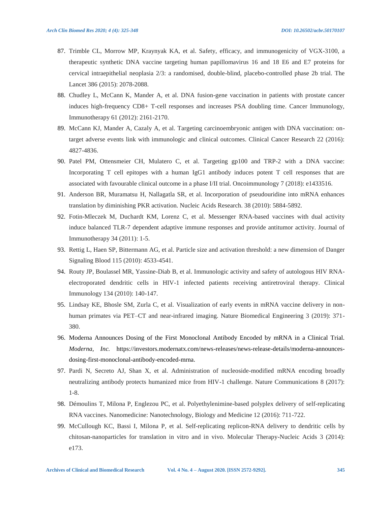- 87. Trimble CL, Morrow MP, Kraynyak KA, et al. Safety, efficacy, and immunogenicity of VGX-3100, a therapeutic synthetic DNA vaccine targeting human papillomavirus 16 and 18 E6 and E7 proteins for cervical intraepithelial neoplasia 2/3: a randomised, double-blind, placebo-controlled phase 2b trial. The Lancet 386 (2015): 2078-2088.
- 88. Chudley L, McCann K, Mander A, et al. DNA fusion-gene vaccination in patients with prostate cancer induces high-frequency CD8+ T-cell responses and increases PSA doubling time. Cancer Immunology, Immunotherapy 61 (2012): 2161-2170.
- 89. McCann KJ, Mander A, Cazaly A, et al. Targeting carcinoembryonic antigen with DNA vaccination: ontarget adverse events link with immunologic and clinical outcomes. Clinical Cancer Research 22 (2016): 4827-4836.
- 90. Patel PM, Ottensmeier CH, Mulatero C, et al. Targeting gp100 and TRP-2 with a DNA vaccine: Incorporating T cell epitopes with a human IgG1 antibody induces potent T cell responses that are associated with favourable clinical outcome in a phase I/II trial. Oncoimmunology 7 (2018): e1433516.
- 91. Anderson BR, Muramatsu H, Nallagatla SR, et al. Incorporation of pseudouridine into mRNA enhances translation by diminishing PKR activation. Nucleic Acids Research. 38 (2010): 5884-5892.
- 92. Fotin-Mleczek M, Duchardt KM, Lorenz C, et al. Messenger RNA-based vaccines with dual activity induce balanced TLR-7 dependent adaptive immune responses and provide antitumor activity. Journal of Immunotherapy 34 (2011): 1-5.
- 93. Rettig L, Haen SP, Bittermann AG, et al. Particle size and activation threshold: a new dimension of Danger Signaling Blood 115 (2010): 4533-4541.
- 94. Routy JP, Boulassel MR, Yassine-Diab B, et al. Immunologic activity and safety of autologous HIV RNAelectroporated dendritic cells in HIV-1 infected patients receiving antiretroviral therapy. Clinical Immunology 134 (2010): 140-147.
- 95. Lindsay KE, Bhosle SM, Zurla C, et al. Visualization of early events in mRNA vaccine delivery in nonhuman primates via PET–CT and near-infrared imaging. Nature Biomedical Engineering 3 (2019): 371- 380.
- 96. Moderna Announces Dosing of the First Monoclonal Antibody Encoded by mRNA in a Clinical Trial. *Moderna, Inc.* https://investors.modernatx.com/news-releases/news-release-details/moderna-announcesdosing-first-monoclonal-antibody-encoded-mrna.
- 97. Pardi N, Secreto AJ, Shan X, et al. Administration of nucleoside-modified mRNA encoding broadly neutralizing antibody protects humanized mice from HIV-1 challenge. Nature Communications 8 (2017): 1-8.
- 98. Démoulins T, Milona P, Englezou PC, et al. Polyethylenimine-based polyplex delivery of self-replicating RNA vaccines. Nanomedicine: Nanotechnology, Biology and Medicine 12 (2016): 711-722.
- 99. McCullough KC, Bassi I, Milona P, et al. Self-replicating replicon-RNA delivery to dendritic cells by chitosan-nanoparticles for translation in vitro and in vivo. Molecular Therapy-Nucleic Acids 3 (2014): e173.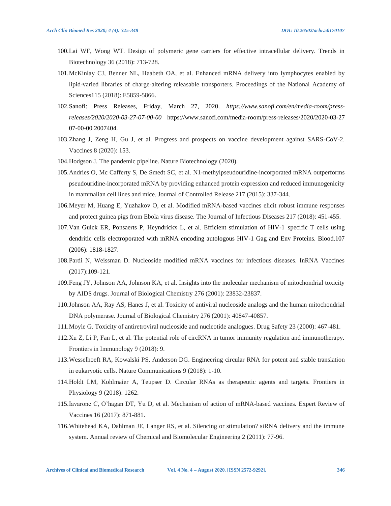- 100.Lai WF, Wong WT. Design of polymeric gene carriers for effective intracellular delivery. Trends in Biotechnology 36 (2018): 713-728.
- 101.McKinlay CJ, Benner NL, Haabeth OA, et al. Enhanced mRNA delivery into lymphocytes enabled by lipid-varied libraries of charge-altering releasable transporters. Proceedings of the National Academy of Sciences115 (2018): E5859-5866.
- 102.Sanofi: Press Releases, Friday, March 27, 2020. *https://www.sanofi.com/en/media-room/pressreleases/2020/2020-03-27-07-00-00* https://www.sanofi.com/media-room/press-releases/2020/2020-03-27 07-00-00 2007404.
- 103.Zhang J, Zeng H, Gu J, et al. Progress and prospects on vaccine development against SARS-CoV-2. Vaccines 8 (2020): 153.
- 104.Hodgson J. The pandemic pipeline. Nature Biotechnology (2020).
- 105.Andries O, Mc Cafferty S, De Smedt SC, et al. N1-methylpseudouridine-incorporated mRNA outperforms pseudouridine-incorporated mRNA by providing enhanced protein expression and reduced immunogenicity in mammalian cell lines and mice. Journal of Controlled Release 217 (2015): 337-344.
- 106.Meyer M, Huang E, Yuzhakov O, et al. Modified mRNA-based vaccines elicit robust immune responses and protect guinea pigs from Ebola virus disease. The Journal of Infectious Diseases 217 (2018): 451-455.
- 107.Van Gulck ER, Ponsaerts P, Heyndrickx L, et al. Efficient stimulation of HIV-1–specific T cells using dendritic cells electroporated with mRNA encoding autologous HIV-1 Gag and Env Proteins. Blood.107 (2006): 1818-1827.
- 108.Pardi N, Weissman D. Nucleoside modified mRNA vaccines for infectious diseases. InRNA Vaccines (2017):109-121.
- 109.Feng JY, Johnson AA, Johnson KA, et al. Insights into the molecular mechanism of mitochondrial toxicity by AIDS drugs. Journal of Biological Chemistry 276 (2001): 23832-23837.
- 110.Johnson AA, Ray AS, Hanes J, et al. Toxicity of antiviral nucleoside analogs and the human mitochondrial DNA polymerase. Journal of Biological Chemistry 276 (2001): 40847-40857.
- 111.Moyle G. Toxicity of antiretroviral nucleoside and nucleotide analogues. Drug Safety 23 (2000): 467-481.
- 112.Xu Z, Li P, Fan L, et al. The potential role of circRNA in tumor immunity regulation and immunotherapy. Frontiers in Immunology 9 (2018): 9.
- 113.Wesselhoeft RA, Kowalski PS, Anderson DG. Engineering circular RNA for potent and stable translation in eukaryotic cells. Nature Communications 9 (2018): 1-10.
- 114.Holdt LM, Kohlmaier A, Teupser D. Circular RNAs as therapeutic agents and targets. Frontiers in Physiology 9 (2018): 1262.
- 115.Iavarone C, O'hagan DT, Yu D, et al. Mechanism of action of mRNA-based vaccines. Expert Review of Vaccines 16 (2017): 871-881.
- 116.Whitehead KA, Dahlman JE, Langer RS, et al. Silencing or stimulation? siRNA delivery and the immune system. Annual review of Chemical and Biomolecular Engineering 2 (2011): 77-96.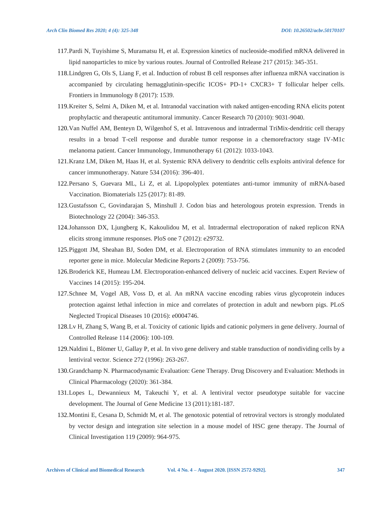- 117.Pardi N, Tuyishime S, Muramatsu H, et al. Expression kinetics of nucleoside-modified mRNA delivered in lipid nanoparticles to mice by various routes. Journal of Controlled Release 217 (2015): 345-351.
- 118.Lindgren G, Ols S, Liang F, et al. Induction of robust B cell responses after influenza mRNA vaccination is accompanied by circulating hemagglutinin-specific ICOS+ PD-1+ CXCR3+ T follicular helper cells. Frontiers in Immunology 8 (2017): 1539.
- 119.Kreiter S, Selmi A, Diken M, et al. Intranodal vaccination with naked antigen-encoding RNA elicits potent prophylactic and therapeutic antitumoral immunity. Cancer Research 70 (2010): 9031-9040.
- 120.Van Nuffel AM, Benteyn D, Wilgenhof S, et al. Intravenous and intradermal TriMix-dendritic cell therapy results in a broad T-cell response and durable tumor response in a chemorefractory stage IV-M1c melanoma patient. Cancer Immunology, Immunotherapy 61 (2012): 1033-1043.
- 121.Kranz LM, Diken M, Haas H, et al. Systemic RNA delivery to dendritic cells exploits antiviral defence for cancer immunotherapy. Nature 534 (2016): 396-401.
- 122.Persano S, Guevara ML, Li Z, et al. Lipopolyplex potentiates anti-tumor immunity of mRNA-based Vaccination. Biomaterials 125 (2017): 81-89.
- 123.Gustafsson C, Govindarajan S, Minshull J. Codon bias and heterologous protein expression. Trends in Biotechnology 22 (2004): 346-353.
- 124.Johansson DX, Ljungberg K, Kakoulidou M, et al. Intradermal electroporation of naked replicon RNA elicits strong immune responses. PloS one 7 (2012): e29732.
- 125.Piggott JM, Sheahan BJ, Soden DM, et al. Electroporation of RNA stimulates immunity to an encoded reporter gene in mice. Molecular Medicine Reports 2 (2009): 753-756.
- 126.Broderick KE, Humeau LM. Electroporation-enhanced delivery of nucleic acid vaccines. Expert Review of Vaccines 14 (2015): 195-204.
- 127.Schnee M, Vogel AB, Voss D, et al. An mRNA vaccine encoding rabies virus glycoprotein induces protection against lethal infection in mice and correlates of protection in adult and newborn pigs. PLoS Neglected Tropical Diseases 10 (2016): e0004746.
- 128.Lv H, Zhang S, Wang B, et al. Toxicity of cationic lipids and cationic polymers in gene delivery. Journal of Controlled Release 114 (2006): 100-109.
- 129.Naldini L, Blömer U, Gallay P, et al. In vivo gene delivery and stable transduction of nondividing cells by a lentiviral vector. Science 272 (1996): 263-267.
- 130.Grandchamp N. Pharmacodynamic Evaluation: Gene Therapy. Drug Discovery and Evaluation: Methods in Clinical Pharmacology (2020): 361-384.
- 131.Lopes L, Dewannieux M, Takeuchi Y, et al. A lentiviral vector pseudotype suitable for vaccine development. The Journal of Gene Medicine 13 (2011):181-187.
- 132.Montini E, Cesana D, Schmidt M, et al. The genotoxic potential of retroviral vectors is strongly modulated by vector design and integration site selection in a mouse model of HSC gene therapy. The Journal of Clinical Investigation 119 (2009): 964-975.